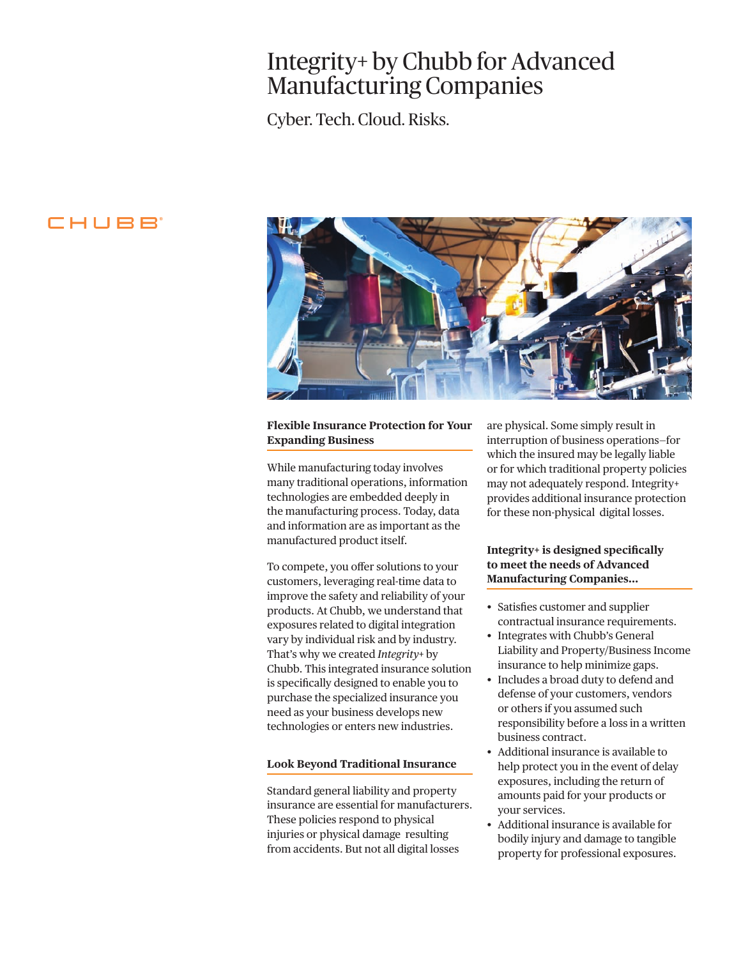# Integrity+ by Chubb for Advanced Manufacturing Companies

Cyber. Tech. Cloud. Risks.

# CHUBB



### **Flexible Insurance Protection for Your Expanding Business**

While manufacturing today involves many traditional operations, information technologies are embedded deeply in the manufacturing process. Today, data and information are as important as the manufactured product itself.

To compete, you offer solutions to your customers, leveraging real-time data to improve the safety and reliability of your products. At Chubb, we understand that exposures related to digital integration vary by individual risk and by industry. That's why we created *Integrity+* by Chubb. This integrated insurance solution is specifically designed to enable you to purchase the specialized insurance you need as your business develops new technologies or enters new industries.

### **Look Beyond Traditional Insurance**

Standard general liability and property insurance are essential for manufacturers. These policies respond to physical injuries or physical damage resulting from accidents. But not all digital losses

are physical. Some simply result in interruption of business operations—for which the insured may be legally liable or for which traditional property policies may not adequately respond. Integrity+ provides additional insurance protection for these non-physical digital losses.

## **Integrity+ is designed specifically to meet the needs of Advanced Manufacturing Companies…**

- Satisfies customer and supplier contractual insurance requirements.
- Integrates with Chubb's General Liability and Property/Business Income insurance to help minimize gaps.
- • Includes a broad duty to defend and defense of your customers, vendors or others if you assumed such responsibility before a loss in a written business contract.
- • Additional insurance is available to help protect you in the event of delay exposures, including the return of amounts paid for your products or your services.
- • Additional insurance is available for bodily injury and damage to tangible property for professional exposures.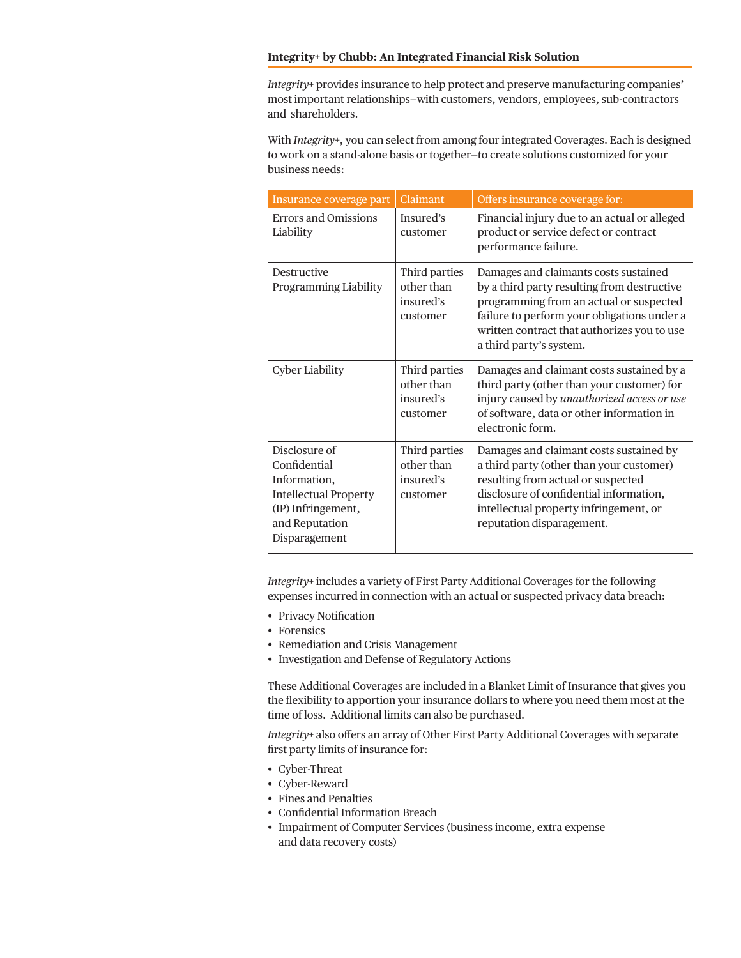#### **Integrity+ by Chubb: An Integrated Financial Risk Solution**

*Integrity+* provides insurance to help protect and preserve manufacturing companies' most important relationships—with customers, vendors, employees, sub-contractors and shareholders.

With *Integrity+*, you can select from among four integrated Coverages. Each is designed to work on a stand-alone basis or together—to create solutions customized for your business needs:

| Insurance coverage part                                                                                                                | Claimant                                             | Offers insurance coverage for:                                                                                                                                                                                                                           |
|----------------------------------------------------------------------------------------------------------------------------------------|------------------------------------------------------|----------------------------------------------------------------------------------------------------------------------------------------------------------------------------------------------------------------------------------------------------------|
| Errors and Omissions<br>Liability                                                                                                      | Insured's<br>customer                                | Financial injury due to an actual or alleged<br>product or service defect or contract<br>performance failure.                                                                                                                                            |
| Destructive<br>Programming Liability                                                                                                   | Third parties<br>other than<br>insured's<br>customer | Damages and claimants costs sustained<br>by a third party resulting from destructive<br>programming from an actual or suspected<br>failure to perform your obligations under a<br>written contract that authorizes you to use<br>a third party's system. |
| <b>Cyber Liability</b>                                                                                                                 | Third parties<br>other than<br>insured's<br>customer | Damages and claimant costs sustained by a<br>third party (other than your customer) for<br>injury caused by unauthorized access or use<br>of software, data or other information in<br>electronic form.                                                  |
| Disclosure of<br>Confidential<br>Information,<br><b>Intellectual Property</b><br>(IP) Infringement,<br>and Reputation<br>Disparagement | Third parties<br>other than<br>insured's<br>customer | Damages and claimant costs sustained by<br>a third party (other than your customer)<br>resulting from actual or suspected<br>disclosure of confidential information,<br>intellectual property infringement, or<br>reputation disparagement.              |

*Integrity+* includes a variety of First Party Additional Coverages for the following expenses incurred in connection with an actual or suspected privacy data breach:

- Privacy Notification
- Forensics
- Remediation and Crisis Management
- Investigation and Defense of Regulatory Actions

These Additional Coverages are included in a Blanket Limit of Insurance that gives you the flexibility to apportion your insurance dollars to where you need them most at the time of loss. Additional limits can also be purchased.

*Integrity+* also offers an array of Other First Party Additional Coverages with separate first party limits of insurance for:

- Cyber-Threat
- Cyber-Reward
- • Fines and Penalties
- • Confidential Information Breach
- Impairment of Computer Services (business income, extra expense and data recovery costs)